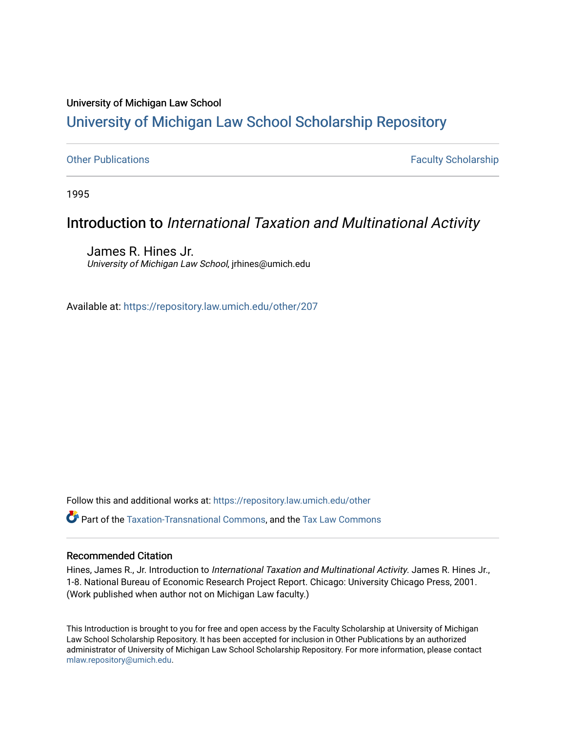# University of Michigan Law School [University of Michigan Law School Scholarship Repository](https://repository.law.umich.edu/)

[Other Publications](https://repository.law.umich.edu/other) **Faculty Scholarship Faculty Scholarship Faculty Scholarship** 

1995

# Introduction to International Taxation and Multinational Activity

James R. Hines Jr. University of Michigan Law School, jrhines@umich.edu

Available at: <https://repository.law.umich.edu/other/207>

Follow this and additional works at: [https://repository.law.umich.edu/other](https://repository.law.umich.edu/other?utm_source=repository.law.umich.edu%2Fother%2F207&utm_medium=PDF&utm_campaign=PDFCoverPages)

Part of the [Taxation-Transnational Commons](https://network.bepress.com/hgg/discipline/883?utm_source=repository.law.umich.edu%2Fother%2F207&utm_medium=PDF&utm_campaign=PDFCoverPages), and the [Tax Law Commons](https://network.bepress.com/hgg/discipline/898?utm_source=repository.law.umich.edu%2Fother%2F207&utm_medium=PDF&utm_campaign=PDFCoverPages) 

### Recommended Citation

Hines, James R., Jr. Introduction to International Taxation and Multinational Activity. James R. Hines Jr., 1-8. National Bureau of Economic Research Project Report. Chicago: University Chicago Press, 2001. (Work published when author not on Michigan Law faculty.)

This Introduction is brought to you for free and open access by the Faculty Scholarship at University of Michigan Law School Scholarship Repository. It has been accepted for inclusion in Other Publications by an authorized administrator of University of Michigan Law School Scholarship Repository. For more information, please contact [mlaw.repository@umich.edu.](mailto:mlaw.repository@umich.edu)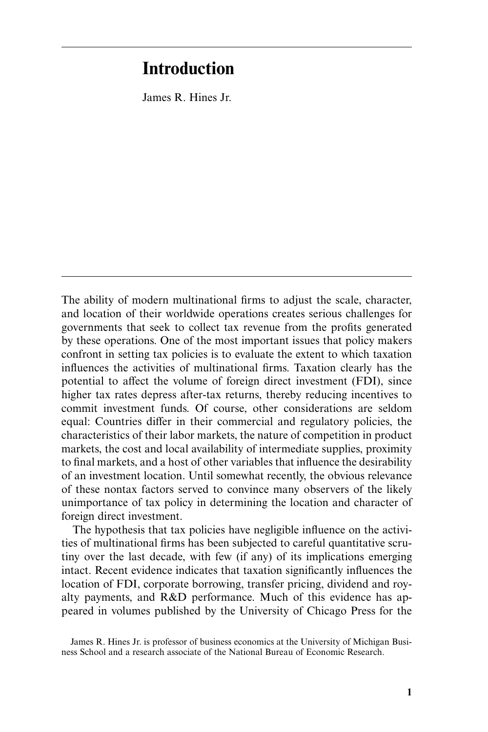## **Introduction**

James R. Hines Jr.

The ability of modern multinational firms to adjust the scale, character, and location of their worldwide operations creates serious challenges for governments that seek to collect tax revenue from the profits generated by these operations. One of the most important issues that policy makers confront in setting tax policies is to evaluate the extent to which taxation influences the activities of multinational firms. Taxation clearly has the potential to affect the volume of foreign direct investment (FDI), since higher tax rates depress after-tax returns, thereby reducing incentives to commit investment funds. Of course, other considerations are seldom equal: Countries differ in their commercial and regulatory policies, the characteristics of their labor markets, the nature of competition in product markets, the cost and local availability of intermediate supplies, proximity to final markets, and a host of other variables that influence the desirability of an investment location. Until somewhat recently, the obvious relevance of these nontax factors served to convince many observers of the likely unimportance of tax policy in determining the location and character of foreign direct investment.

The hypothesis that tax policies have negligible influence on the activities of multinational firms has been subjected to careful quantitative scrutiny over the last decade, with few (if any) of its implications emerging intact. Recent evidence indicates that taxation significantly influences the location of FDI, corporate borrowing, transfer pricing, dividend and royalty payments, and R&D performance. Much of this evidence has appeared in volumes published by the University of Chicago Press for the

James R. Hines Jr. is professor of business economics at the University of Michigan Business School and a research associate of the National Bureau of Economic Research.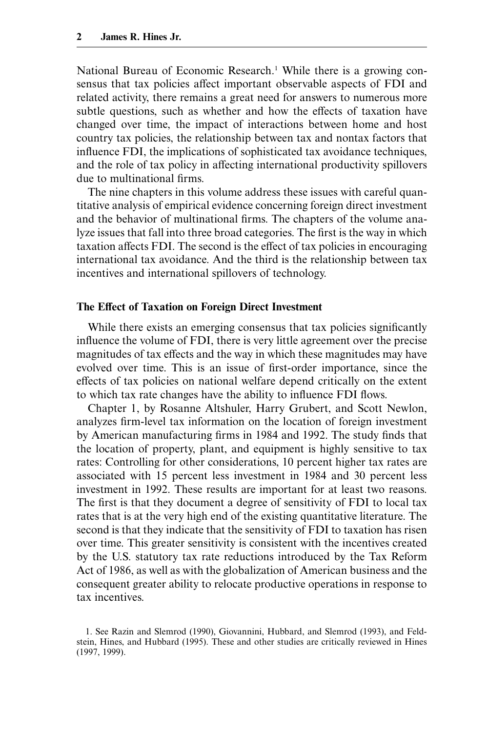National Bureau of Economic Research.<sup>1</sup> While there is a growing consensus that tax policies affect important observable aspects of FDI and related activity, there remains a great need for answers to numerous more subtle questions, such as whether and how the effects of taxation have changed over time, the impact of interactions between home and host country tax policies, the relationship between tax and nontax factors that influence FDI, the implications of sophisticated tax avoidance techniques, and the role of tax policy in affecting international productivity spillovers due to multinational firms.

The nine chapters in this volume address these issues with careful quantitative analysis of empirical evidence concerning foreign direct investment and the behavior of multinational firms. The chapters of the volume analyze issues that fall into three broad categories. The first is the way in which taxation affects FDI. The second is the effect of tax policies in encouraging international tax avoidance. And the third is the relationship between tax incentives and international spillovers of technology.

### **The Effect of Taxation on Foreign Direct Investment**

While there exists an emerging consensus that tax policies significantly influence the volume of FDI, there is very little agreement over the precise magnitudes of tax effects and the way in which these magnitudes may have evolved over time. This is an issue of first-order importance, since the effects of tax policies on national welfare depend critically on the extent to which tax rate changes have the ability to influence FDI flows.

Chapter 1, by Rosanne Altshuler, Harry Grubert, and Scott Newlon, analyzes firm-level tax information on the location of foreign investment by American manufacturing firms in 1984 and 1992. The study finds that the location of property, plant, and equipment is highly sensitive to tax rates: Controlling for other considerations, 10 percent higher tax rates are associated with 15 percent less investment in 1984 and 30 percent less investment in 1992. These results are important for at least two reasons. The first is that they document a degree of sensitivity of FDI to local tax rates that is at the very high end of the existing quantitative literature. The second is that they indicate that the sensitivity of FDI to taxation has risen over time. This greater sensitivity is consistent with the incentives created by the U.S. statutory tax rate reductions introduced by the Tax Reform Act of 1986, as well as with the globalization of American business and the consequent greater ability to relocate productive operations in response to tax incentives.

<sup>1.</sup> See Razin and Slemrod (1990), Giovannini, Hubbard, and Slemrod (1993), and Feldstein, Hines, and Hubbard (1995). These and other studies are critically reviewed in Hines (1997, 1999).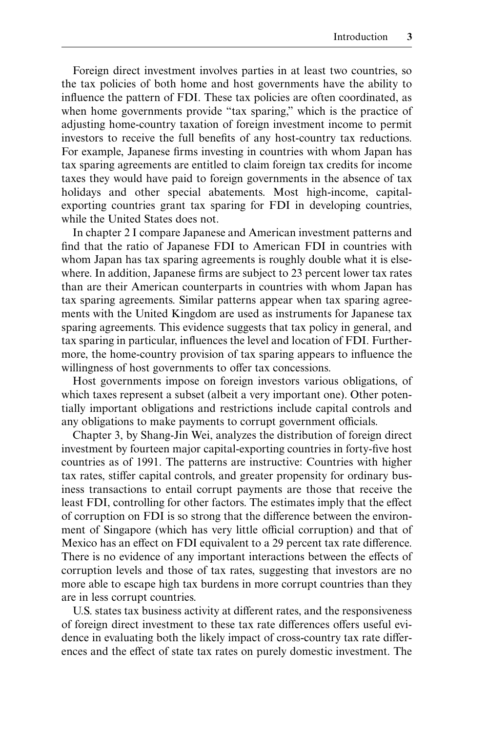Foreign direct investment involves parties in at least two countries, so the tax policies of both home and host governments have the ability to influence the pattern of FDI. These tax policies are often coordinated, as when home governments provide "tax sparing," which is the practice of adjusting home-country taxation of foreign investment income to permit investors to receive the full benefits of any host-country tax reductions. For example, Japanese firms investing in countries with whom Japan has tax sparing agreements are entitled to claim foreign tax credits for income taxes they would have paid to foreign governments in the absence of tax holidays and other special abatements. Most high-income, capitalexporting countries grant tax sparing for FDI in developing countries, while the United States does not.

In chapter 2 I compare Japanese and American investment patterns and find that the ratio of Japanese FDI to American FDI in countries with whom Japan has tax sparing agreements is roughly double what it is elsewhere. In addition, Japanese firms are subject to 23 percent lower tax rates than are their American counterparts in countries with whom Japan has tax sparing agreements. Similar patterns appear when tax sparing agreements with the United Kingdom are used as instruments for Japanese tax sparing agreements. This evidence suggests that tax policy in general, and tax sparing in particular, influences the level and location of FDI. Furthermore, the home-country provision of tax sparing appears to influence the willingness of host governments to offer tax concessions.

Host governments impose on foreign investors various obligations, of which taxes represent a subset (albeit a very important one). Other potentially important obligations and restrictions include capital controls and any obligations to make payments to corrupt government officials.

Chapter 3, by Shang-Jin Wei, analyzes the distribution of foreign direct investment by fourteen major capital-exporting countries in forty-five host countries as of 1991. The patterns are instructive: Countries with higher tax rates, stiffer capital controls, and greater propensity for ordinary business transactions to entail corrupt payments are those that receive the least FDI, controlling for other factors. The estimates imply that the effect of corruption on FDI is so strong that the difference between the environment of Singapore (which has very little official corruption) and that of Mexico has an effect on FDI equivalent to a 29 percent tax rate difference. There is no evidence of any important interactions between the effects of corruption levels and those of tax rates, suggesting that investors are no more able to escape high tax burdens in more corrupt countries than they are in less corrupt countries.

U.S. states tax business activity at different rates, and the responsiveness of foreign direct investment to these tax rate differences offers useful evidence in evaluating both the likely impact of cross-country tax rate differences and the effect of state tax rates on purely domestic investment. The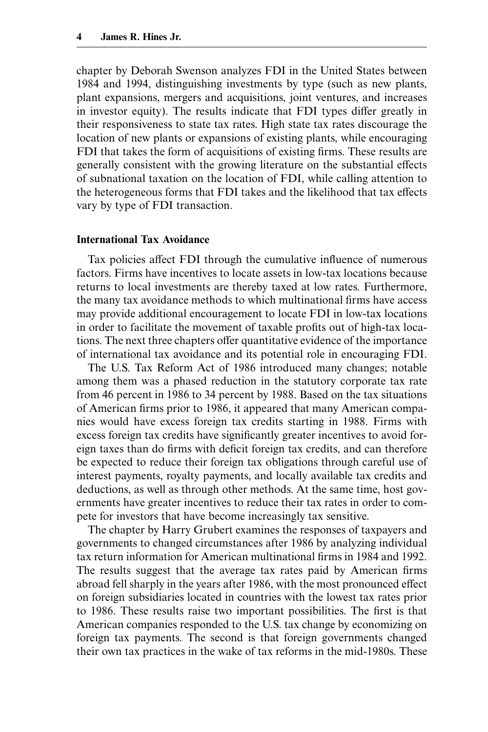chapter by Deborah Swenson analyzes FDI in the United States between 1984 and 1994, distinguishing investments by type (such as new plants, plant expansions, mergers and acquisitions, joint ventures, and increases in investor equity). The results indicate that FDI types differ greatly in their responsiveness to state tax rates. High state tax rates discourage the location of new plants or expansions of existing plants, while encouraging FDI that takes the form of acquisitions of existing firms. These results are generally consistent with the growing literature on the substantial effects of subnational taxation on the location of FDI, while calling attention to the heterogeneous forms that FDI takes and the likelihood that tax effects vary by type of FDI transaction.

#### **International Tax Avoidance**

Tax policies affect FDI through the cumulative influence of numerous factors. Firms have incentives to locate assets in low-tax locations because returns to local investments are thereby taxed at low rates. Furthermore, the many tax avoidance methods to which multinational firms have access may provide additional encouragement to locate FDI in low-tax locations in order to facilitate the movement of taxable profits out of high-tax locations. The next three chapters offer quantitative evidence of the importance of international tax avoidance and its potential role in encouraging FDI.

The U.S. Tax Reform Act of 1986 introduced many changes; notable among them was a phased reduction in the statutory corporate tax rate from 46 percent in 1986 to 34 percent by 1988. Based on the tax situations of American firms prior to 1986, it appeared that many American companies would have excess foreign tax credits starting in 1988. Firms with excess foreign tax credits have significantly greater incentives to avoid foreign taxes than do firms with deficit foreign tax credits, and can therefore be expected to reduce their foreign tax obligations through careful use of interest payments, royalty payments, and locally available tax credits and deductions, as well as through other methods. At the same time, host governments have greater incentives to reduce their tax rates in order to compete for investors that have become increasingly tax sensitive.

The chapter by Harry Grubert examines the responses of taxpayers and governments to changed circumstances after 1986 by analyzing individual tax return information for American multinational firms in 1984 and 1992. The results suggest that the average tax rates paid by American firms abroad fell sharply in the years after 1986, with the most pronounced effect on foreign subsidiaries located in countries with the lowest tax rates prior to 1986. These results raise two important possibilities. The first is that American companies responded to the U.S. tax change by economizing on foreign tax payments. The second is that foreign governments changed their own tax practices in the wake of tax reforms in the mid-1980s. These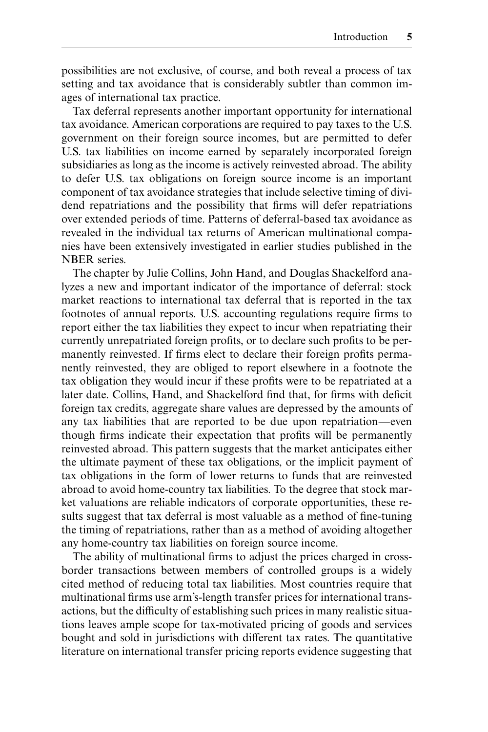possibilities are not exclusive, of course, and both reveal a process of tax setting and tax avoidance that is considerably subtler than common images of international tax practice.

Tax deferral represents another important opportunity for international tax avoidance. American corporations are required to pay taxes to the U.S. government on their foreign source incomes, but are permitted to defer U.S. tax liabilities on income earned by separately incorporated foreign subsidiaries as long as the income is actively reinvested abroad. The ability to defer U.S. tax obligations on foreign source income is an important component of tax avoidance strategies that include selective timing of dividend repatriations and the possibility that firms will defer repatriations over extended periods of time. Patterns of deferral-based tax avoidance as revealed in the individual tax returns of American multinational companies have been extensively investigated in earlier studies published in the NBER series.

The chapter by Julie Collins, John Hand, and Douglas Shackelford analyzes a new and important indicator of the importance of deferral: stock market reactions to international tax deferral that is reported in the tax footnotes of annual reports. U.S. accounting regulations require firms to report either the tax liabilities they expect to incur when repatriating their currently unrepatriated foreign profits, or to declare such profits to be permanently reinvested. If firms elect to declare their foreign profits permanently reinvested, they are obliged to report elsewhere in a footnote the tax obligation they would incur if these profits were to be repatriated at a later date. Collins, Hand, and Shackelford find that, for firms with deficit foreign tax credits, aggregate share values are depressed by the amounts of any tax liabilities that are reported to be due upon repatriation—even though firms indicate their expectation that profits will be permanently reinvested abroad. This pattern suggests that the market anticipates either the ultimate payment of these tax obligations, or the implicit payment of tax obligations in the form of lower returns to funds that are reinvested abroad to avoid home-country tax liabilities. To the degree that stock market valuations are reliable indicators of corporate opportunities, these results suggest that tax deferral is most valuable as a method of fine-tuning the timing of repatriations, rather than as a method of avoiding altogether any home-country tax liabilities on foreign source income.

The ability of multinational firms to adjust the prices charged in crossborder transactions between members of controlled groups is a widely cited method of reducing total tax liabilities. Most countries require that multinational firms use arm's-length transfer prices for international transactions, but the difficulty of establishing such prices in many realistic situations leaves ample scope for tax-motivated pricing of goods and services bought and sold in jurisdictions with different tax rates. The quantitative literature on international transfer pricing reports evidence suggesting that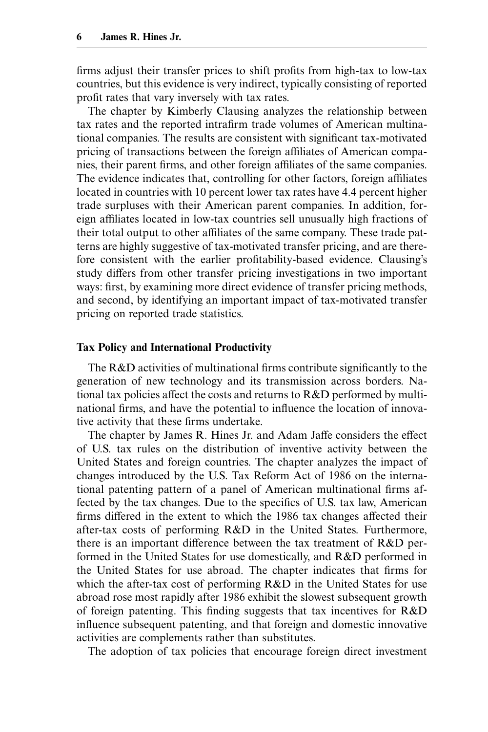firms adjust their transfer prices to shift profits from high-tax to low-tax countries, but this evidence is very indirect, typically consisting of reported profit rates that vary inversely with tax rates.

The chapter by Kimberly Clausing analyzes the relationship between tax rates and the reported intrafirm trade volumes of American multinational companies. The results are consistent with significant tax-motivated pricing of transactions between the foreign affiliates of American companies, their parent firms, and other foreign affiliates of the same companies. The evidence indicates that, controlling for other factors, foreign affiliates located in countries with 10 percent lower tax rates have 4.4 percent higher trade surpluses with their American parent companies. In addition, foreign affiliates located in low-tax countries sell unusually high fractions of their total output to other affiliates of the same company. These trade patterns are highly suggestive of tax-motivated transfer pricing, and are therefore consistent with the earlier profitability-based evidence. Clausing's study differs from other transfer pricing investigations in two important ways: first, by examining more direct evidence of transfer pricing methods, and second, by identifying an important impact of tax-motivated transfer pricing on reported trade statistics.

#### **Tax Policy and International Productivity**

The R&D activities of multinational firms contribute significantly to the generation of new technology and its transmission across borders. National tax policies affect the costs and returns to R&D performed by multinational firms, and have the potential to influence the location of innovative activity that these firms undertake.

The chapter by James R. Hines Jr. and Adam Jaffe considers the effect of U.S. tax rules on the distribution of inventive activity between the United States and foreign countries. The chapter analyzes the impact of changes introduced by the U.S. Tax Reform Act of 1986 on the international patenting pattern of a panel of American multinational firms affected by the tax changes. Due to the specifics of U.S. tax law, American firms differed in the extent to which the 1986 tax changes affected their after-tax costs of performing R&D in the United States. Furthermore, there is an important difference between the tax treatment of R&D performed in the United States for use domestically, and R&D performed in the United States for use abroad. The chapter indicates that firms for which the after-tax cost of performing R&D in the United States for use abroad rose most rapidly after 1986 exhibit the slowest subsequent growth of foreign patenting. This finding suggests that tax incentives for R&D influence subsequent patenting, and that foreign and domestic innovative activities are complements rather than substitutes.

The adoption of tax policies that encourage foreign direct investment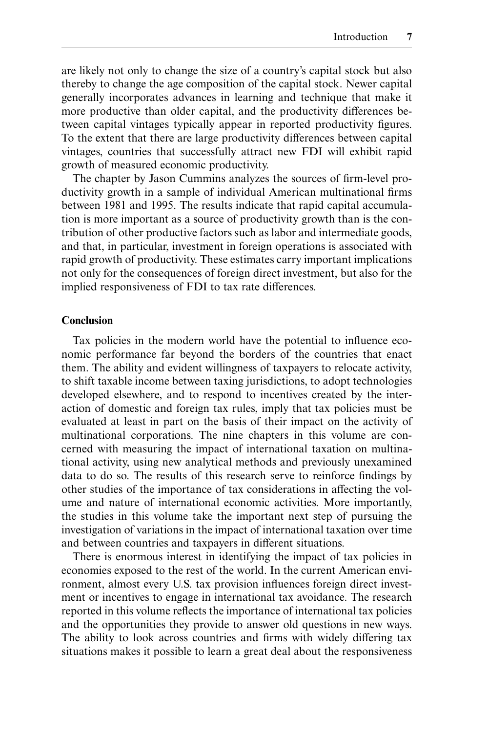are likely not only to change the size of a country's capital stock but also thereby to change the age composition of the capital stock. Newer capital generally incorporates advances in learning and technique that make it more productive than older capital, and the productivity differences between capital vintages typically appear in reported productivity figures. To the extent that there are large productivity differences between capital vintages, countries that successfully attract new FDI will exhibit rapid growth of measured economic productivity.

The chapter by Jason Cummins analyzes the sources of firm-level productivity growth in a sample of individual American multinational firms between 1981 and 1995. The results indicate that rapid capital accumulation is more important as a source of productivity growth than is the contribution of other productive factors such as labor and intermediate goods, and that, in particular, investment in foreign operations is associated with rapid growth of productivity. These estimates carry important implications not only for the consequences of foreign direct investment, but also for the implied responsiveness of FDI to tax rate differences.

#### **Conclusion**

Tax policies in the modern world have the potential to influence economic performance far beyond the borders of the countries that enact them. The ability and evident willingness of taxpayers to relocate activity, to shift taxable income between taxing jurisdictions, to adopt technologies developed elsewhere, and to respond to incentives created by the interaction of domestic and foreign tax rules, imply that tax policies must be evaluated at least in part on the basis of their impact on the activity of multinational corporations. The nine chapters in this volume are concerned with measuring the impact of international taxation on multinational activity, using new analytical methods and previously unexamined data to do so. The results of this research serve to reinforce findings by other studies of the importance of tax considerations in affecting the volume and nature of international economic activities. More importantly, the studies in this volume take the important next step of pursuing the investigation of variations in the impact of international taxation over time and between countries and taxpayers in different situations.

There is enormous interest in identifying the impact of tax policies in economies exposed to the rest of the world. In the current American environment, almost every U.S. tax provision influences foreign direct investment or incentives to engage in international tax avoidance. The research reported in this volume reflects the importance of international tax policies and the opportunities they provide to answer old questions in new ways. The ability to look across countries and firms with widely differing tax situations makes it possible to learn a great deal about the responsiveness